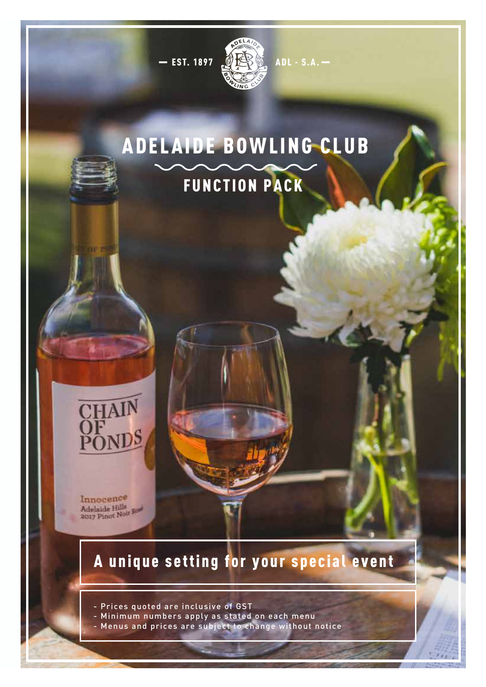

# ADELAIDE BOWLING CLUB FUNCTION PACK



Innocence Adelaide Hills<br>2017 Pinot Noir Rose

# A unique setting for your special event

- Prices quoted are inclusive of GST

- Minimum numbers apply as stated on each menu
- Menus and prices are subject to change without notice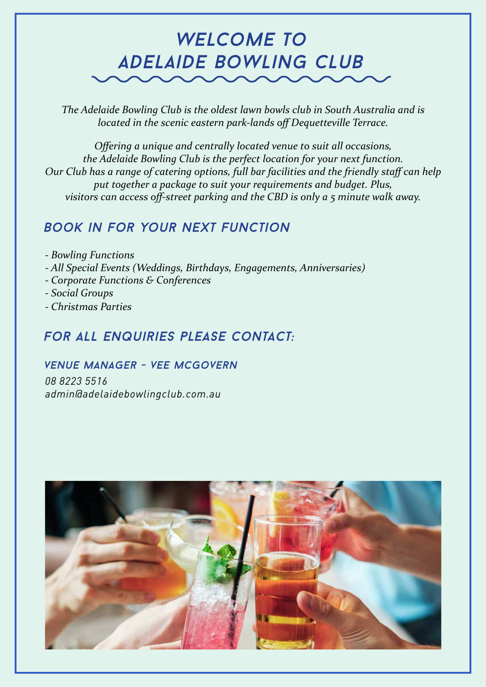# *welcome to adelaide bowling club*

*The Adelaide Bowling Club is the oldest lawn bowls club in South Australia and is located in the scenic eastern park-lands off Dequetteville Terrace.*

*Offering a unique and centrally located venue to suit all occasions, the Adelaide Bowling Club is the perfect location for your next function. Our Club has a range of catering options, full bar facilities and the friendly staff can help put together a package to suit your requirements and budget. Plus, visitors can access off-street parking and the CBD is only a 5 minute walk away.*

### *Book in for your next function*

- *Bowling Functions - All Special Events (Weddings, Birthdays, Engagements, Anniversaries)*
- *Corporate Functions & Conferences*
- *Social Groups*
- *Christmas Parties*

## *For all enquiries please contact:*

#### *venue Manager - vee mcgovern*

*08 8223 5516 admin@adelaidebowlingclub.com.au*

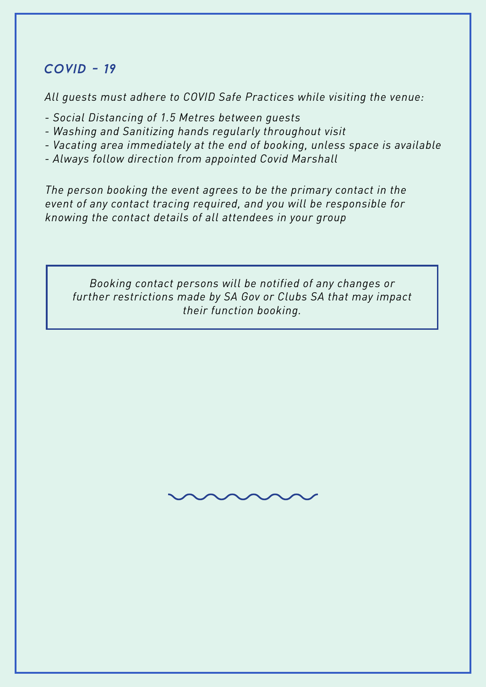#### *covid - 19*

*All guests must adhere to COVID Safe Practices while visiting the venue:*

- *Social Distancing of 1.5 Metres between guests*
- *Washing and Sanitizing hands regularly throughout visit*
- *Vacating area immediately at the end of booking, unless space is available*
- *Always follow direction from appointed Covid Marshall*

*The person booking the event agrees to be the primary contact in the event of any contact tracing required, and you will be responsible for knowing the contact details of all attendees in your group*

*Booking contact persons will be notified of any changes or further restrictions made by SA Gov or Clubs SA that may impact their function booking.*

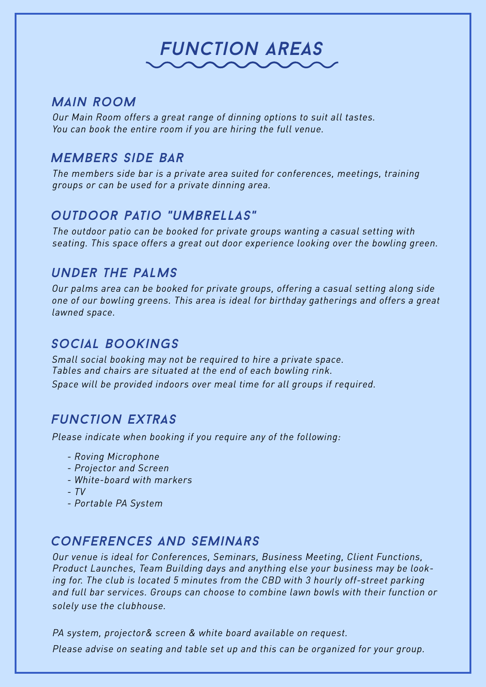# *Function Areas*

#### *Main room*

*Our Main Room offers a great range of dinning options to suit all tastes. You can book the entire room if you are hiring the full venue.*

#### *members Side Bar*

*The members side bar is a private area suited for conferences, meetings, training groups or can be used for a private dinning area.*

### *outdoor patio "umbrellas"*

*The outdoor patio can be booked for private groups wanting a casual setting with seating. This space offers a great out door experience looking over the bowling green.*

#### *under the palms*

*Our palms area can be booked for private groups, offering a casual setting along side one of our bowling greens. This area is ideal for birthday gatherings and offers a great lawned space.*

#### *social bookings*

*Small social booking may not be required to hire a private space. Tables and chairs are situated at the end of each bowling rink. Space will be provided indoors over meal time for all groups if required.*

### *Function extras*

*Please indicate when booking if you require any of the following:*

- *Roving Microphone*
- *Projector and Screen*
- *White-board with markers*
- *TV*
- *Portable PA System*

### *conferences and seminars*

*Our venue is ideal for Conferences, Seminars, Business Meeting, Client Functions, Product Launches, Team Building days and anything else your business may be looking for. The club is located 5 minutes from the CBD with 3 hourly off-street parking and full bar services. Groups can choose to combine lawn bowls with their function or solely use the clubhouse.* 

*PA system, projector& screen & white board available on request. Please advise on seating and table set up and this can be organized for your group.*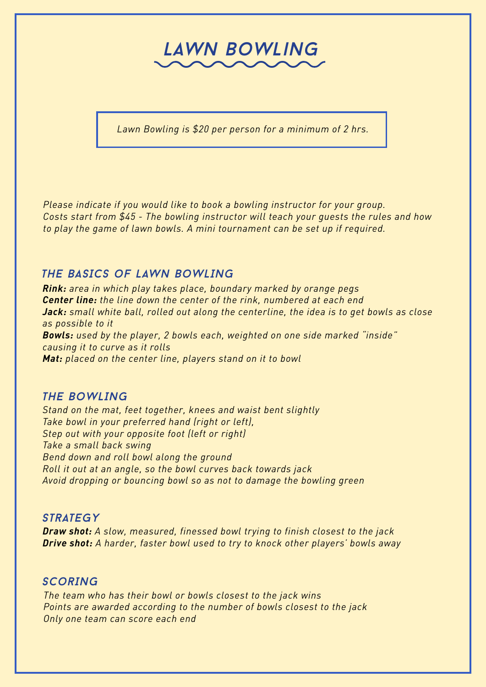# *lawn Bowling*

*Lawn Bowling is \$20 per person for a minimum of 2 hrs.* 

*Please indicate if you would like to book a bowling instructor for your group. Costs start from \$45 - The bowling instructor will teach your guests the rules and how to play the game of lawn bowls. A mini tournament can be set up if required.*

#### *THE BASICS oF LAWN BoWLING*

*Rink: area in which play takes place, boundary marked by orange pegs Center line: the line down the center of the rink, numbered at each end Jack: small white ball, rolled out along the centerline, the idea is to get bowls as close as possible to it Bowls: used by the player, 2 bowls each, weighted on one side marked "inside" causing it to curve as it rolls Mat: placed on the center line, players stand on it to bowl*

#### *THE BoWLING*

*Stand on the mat, feet together, knees and waist bent slightly Take bowl in your preferred hand (right or left), Step out with your opposite foot (left or right) Take a small back swing Bend down and roll bowl along the ground Roll it out at an angle, so the bowl curves back towards jack Avoid dropping or bouncing bowl so as not to damage the bowling green*

#### *Strategy*

*Draw shot: A slow, measured, finessed bowl trying to finish closest to the jack Drive shot: A harder, faster bowl used to try to knock other players' bowls away*

#### *SCorING*

*The team who has their bowl or bowls closest to the jack wins Points are awarded according to the number of bowls closest to the jack Only one team can score each end*